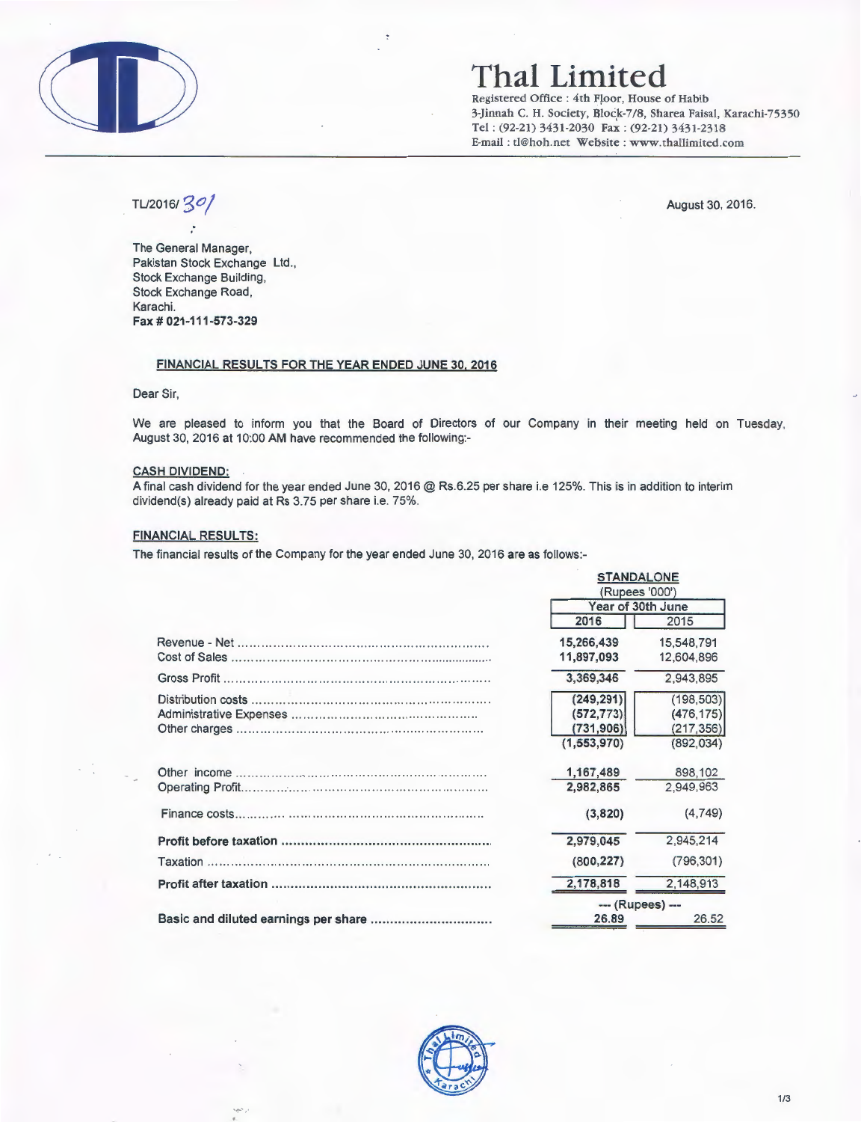

# **Thai Limited**

Registered Office : 4th Floor, House of Habib 3-Jinnah C. H. Society, Block-7/8, Sharea Faisal, Karachi-75350 Tel : (92-21) 3431-2030 Fax : (92-21) 3431-2318 E-mail: tl@hoh.net Website : www.thallimited.com

TU2016/ *go/* August 30, 2016.

The General Manager, Pakistan Stock Exchange Ltd., Stock Exchange Building, Stock Exchange Road, Karachi. Fax# 021-111-573-329

#### FINANCIAL RESULTS FOR THE YEAR ENDED JUNE 30. 2016

Dear Sir,

We are pleased to inform you that the Board of Directors of our Company in their meeting held on Tuesday, August 30, 2016 at 10:00 AM have recommended the following:-

### CASH DIVIDEND:

A final cash dividend for the year ended June 30, 2016 @ Rs.6.25 per share i.e 125%. This is in addition to interim dividend(s) already paid at Rs 3.75 per share i.e. 75%.

#### FINANCIAL RESULTS:

The financial results of the Company for the year ended June 30, 2016 are as follows:-

| <b>STANDALONE</b><br>(Rupees '000') |            |
|-------------------------------------|------------|
| Year of 30th June                   |            |
| 2016                                | 2015       |
| 15,266,439                          | 15,548,791 |
| 11,897,093                          | 12,604,896 |
| 3.369.346                           | 2.943.895  |
| (249, 291)                          | (198, 503) |
| (572, 773)                          | (476, 175) |
| (731, 906)                          | (217, 356) |
| (1,553,970)                         | (892.034)  |
| 1,167,489                           | 898,102    |
| 2,982,865                           | 2.949.963  |
| (3,820)                             | (4,749)    |
| 2,979,045                           | 2,945,214  |
| (800, 227)                          | (796, 301) |
| 2,178,818                           | 2,148,913  |
| --- (Rupees) ---                    |            |
| 26.89                               | 26.52      |

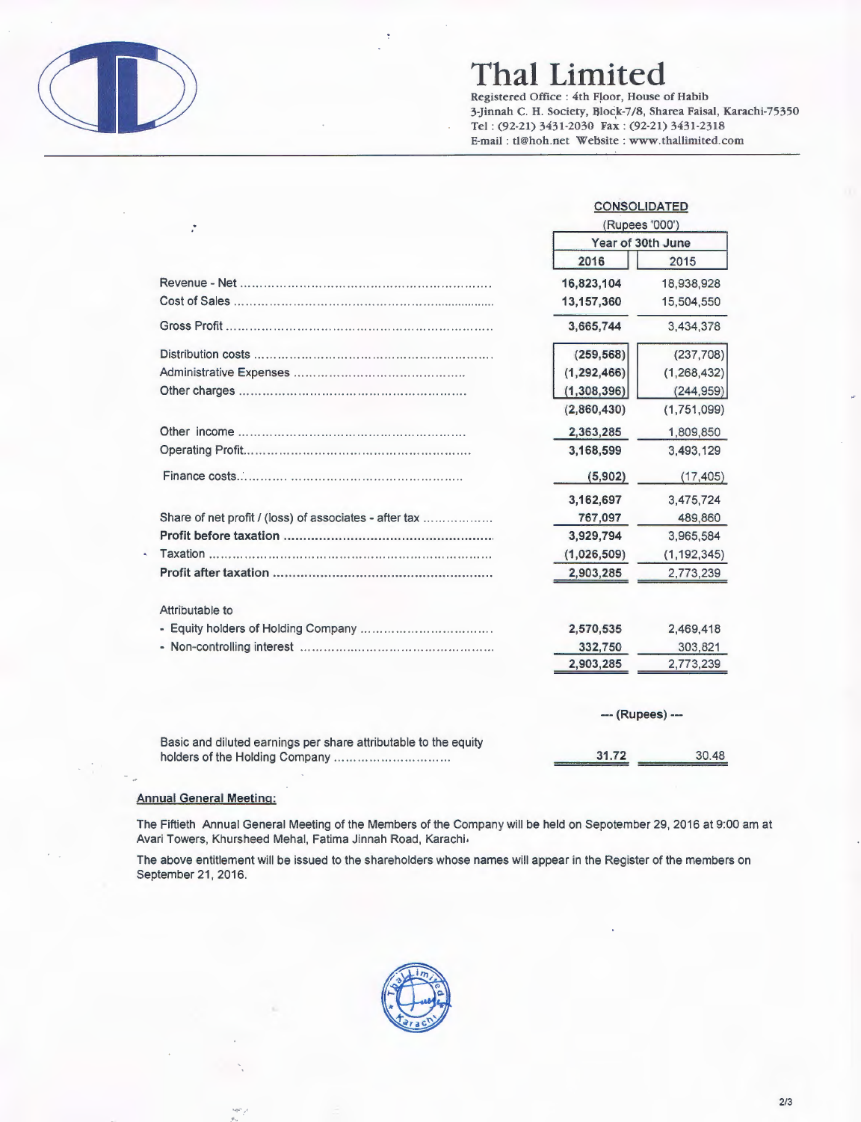

# **Thai Limited**

Registered Office : 4th Floor, House of Habib 3-Jinnah C. H. Society, Block-7/8, Sharea Faisal, Karachi-75350 Tel: (92-21) 3431-2030 Fax : (92-21) 3431-2318 E-mail : tl@hoh.net Website : www.thallimited.com

|                                                                 | <b>CONSOLIDATED</b><br>(Rupees '000')<br>Year of 30th June |                  |  |
|-----------------------------------------------------------------|------------------------------------------------------------|------------------|--|
|                                                                 |                                                            |                  |  |
|                                                                 | 2016                                                       | 2015             |  |
|                                                                 | 16,823,104                                                 | 18,938,928       |  |
|                                                                 | 13,157,360                                                 | 15,504,550       |  |
|                                                                 | 3,665,744                                                  | 3,434,378        |  |
|                                                                 | (259, 568)                                                 | (237, 708)       |  |
|                                                                 | (1, 292, 466)                                              | (1, 268, 432)    |  |
|                                                                 | (1,308,396)                                                | (244, 959)       |  |
|                                                                 | (2,860,430)                                                | (1,751,099)      |  |
|                                                                 | 2,363,285                                                  | 1,809,850        |  |
|                                                                 | 3.168.599                                                  | 3,493,129        |  |
|                                                                 | (5, 902)                                                   | (17, 405)        |  |
|                                                                 | 3,162,697                                                  | 3,475,724        |  |
| Share of net profit / (loss) of associates - after tax          | 767,097                                                    | 489,860          |  |
|                                                                 | 3,929,794                                                  | 3,965,584        |  |
|                                                                 | (1,026,509)                                                | (1, 192, 345)    |  |
|                                                                 | 2,903,285                                                  | 2,773,239        |  |
| Attributable to                                                 |                                                            |                  |  |
|                                                                 | 2,570,535                                                  | 2,469,418        |  |
|                                                                 | 332,750                                                    | 303,821          |  |
|                                                                 | 2,903,285                                                  | 2,773,239        |  |
|                                                                 |                                                            | --- (Rupees) --- |  |
| Basic and diluted earnings per share attributable to the equity | 31.72                                                      | 30.48            |  |
|                                                                 |                                                            |                  |  |

### Annual General Meeting:

The Fiftieth Annual General Meeting of the Members of the Company will be held on Sepotember 29, 2016 at 9:00 am at Avari Towers, Khursheed Mehal, Fatima Jinnah Road, Karachi.

The above entitlement will be issued to the shareholders whose names will appear in the Register of the members on September 21, 2016.